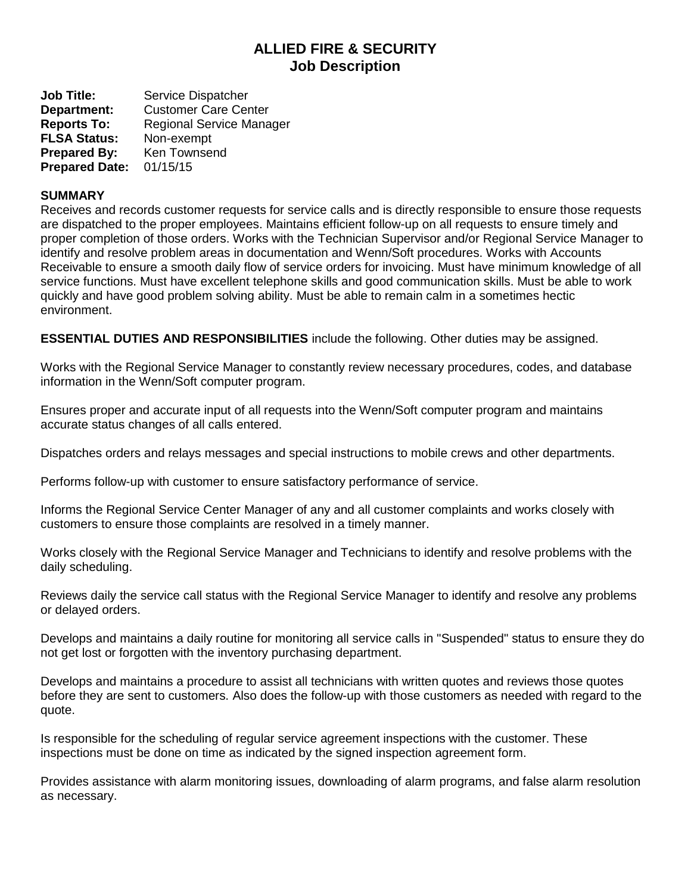## **ALLIED FIRE & SECURITY Job Description**

**Job Title:** Service Dispatcher **Department:** Customer Care Center **Reports To:** Regional Service Manager **FLSA Status:** Non-exempt **Prepared By:** Ken Townsend **Prepared Date:** 01/15/15

#### **SUMMARY**

Receives and records customer requests for service calls and is directly responsible to ensure those requests are dispatched to the proper employees. Maintains efficient follow-up on all requests to ensure timely and proper completion of those orders. Works with the Technician Supervisor and/or Regional Service Manager to identify and resolve problem areas in documentation and Wenn/Soft procedures. Works with Accounts Receivable to ensure a smooth daily flow of service orders for invoicing. Must have minimum knowledge of all service functions. Must have excellent telephone skills and good communication skills. Must be able to work quickly and have good problem solving ability. Must be able to remain calm in a sometimes hectic environment.

**ESSENTIAL DUTIES AND RESPONSIBILITIES** include the following. Other duties may be assigned.

Works with the Regional Service Manager to constantly review necessary procedures, codes, and database information in the Wenn/Soft computer program.

Ensures proper and accurate input of all requests into the Wenn/Soft computer program and maintains accurate status changes of all calls entered.

Dispatches orders and relays messages and special instructions to mobile crews and other departments.

Performs follow-up with customer to ensure satisfactory performance of service.

Informs the Regional Service Center Manager of any and all customer complaints and works closely with customers to ensure those complaints are resolved in a timely manner.

Works closely with the Regional Service Manager and Technicians to identify and resolve problems with the daily scheduling.

Reviews daily the service call status with the Regional Service Manager to identify and resolve any problems or delayed orders.

Develops and maintains a daily routine for monitoring all service calls in "Suspended" status to ensure they do not get lost or forgotten with the inventory purchasing department.

Develops and maintains a procedure to assist all technicians with written quotes and reviews those quotes before they are sent to customers. Also does the follow-up with those customers as needed with regard to the quote.

Is responsible for the scheduling of regular service agreement inspections with the customer. These inspections must be done on time as indicated by the signed inspection agreement form.

Provides assistance with alarm monitoring issues, downloading of alarm programs, and false alarm resolution as necessary.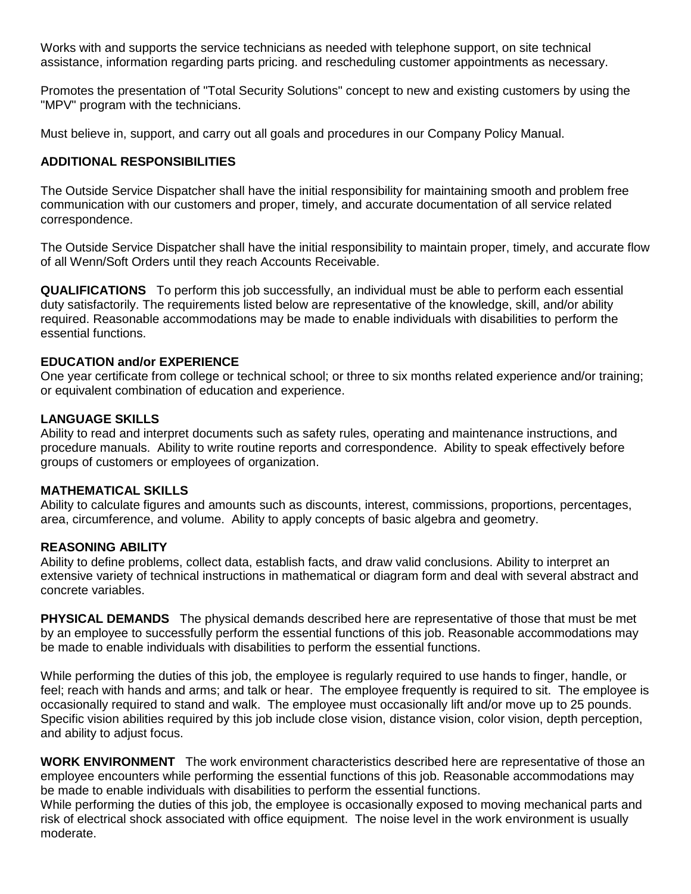Works with and supports the service technicians as needed with telephone support, on site technical assistance, information regarding parts pricing. and rescheduling customer appointments as necessary.

Promotes the presentation of "Total Security Solutions" concept to new and existing customers by using the "MPV" program with the technicians.

Must believe in, support, and carry out all goals and procedures in our Company Policy Manual.

### **ADDITIONAL RESPONSIBILITIES**

The Outside Service Dispatcher shall have the initial responsibility for maintaining smooth and problem free communication with our customers and proper, timely, and accurate documentation of all service related correspondence.

The Outside Service Dispatcher shall have the initial responsibility to maintain proper, timely, and accurate flow of all Wenn/Soft Orders until they reach Accounts Receivable.

**QUALIFICATIONS** To perform this job successfully, an individual must be able to perform each essential duty satisfactorily. The requirements listed below are representative of the knowledge, skill, and/or ability required. Reasonable accommodations may be made to enable individuals with disabilities to perform the essential functions.

#### **EDUCATION and/or EXPERIENCE**

One year certificate from college or technical school; or three to six months related experience and/or training; or equivalent combination of education and experience.

#### **LANGUAGE SKILLS**

Ability to read and interpret documents such as safety rules, operating and maintenance instructions, and procedure manuals. Ability to write routine reports and correspondence. Ability to speak effectively before groups of customers or employees of organization.

#### **MATHEMATICAL SKILLS**

Ability to calculate figures and amounts such as discounts, interest, commissions, proportions, percentages, area, circumference, and volume. Ability to apply concepts of basic algebra and geometry.

#### **REASONING ABILITY**

Ability to define problems, collect data, establish facts, and draw valid conclusions. Ability to interpret an extensive variety of technical instructions in mathematical or diagram form and deal with several abstract and concrete variables.

**PHYSICAL DEMANDS** The physical demands described here are representative of those that must be met by an employee to successfully perform the essential functions of this job. Reasonable accommodations may be made to enable individuals with disabilities to perform the essential functions.

While performing the duties of this job, the employee is regularly required to use hands to finger, handle, or feel; reach with hands and arms; and talk or hear. The employee frequently is required to sit. The employee is occasionally required to stand and walk. The employee must occasionally lift and/or move up to 25 pounds. Specific vision abilities required by this job include close vision, distance vision, color vision, depth perception, and ability to adjust focus.

**WORK ENVIRONMENT** The work environment characteristics described here are representative of those an employee encounters while performing the essential functions of this job. Reasonable accommodations may be made to enable individuals with disabilities to perform the essential functions.

While performing the duties of this job, the employee is occasionally exposed to moving mechanical parts and risk of electrical shock associated with office equipment. The noise level in the work environment is usually moderate.